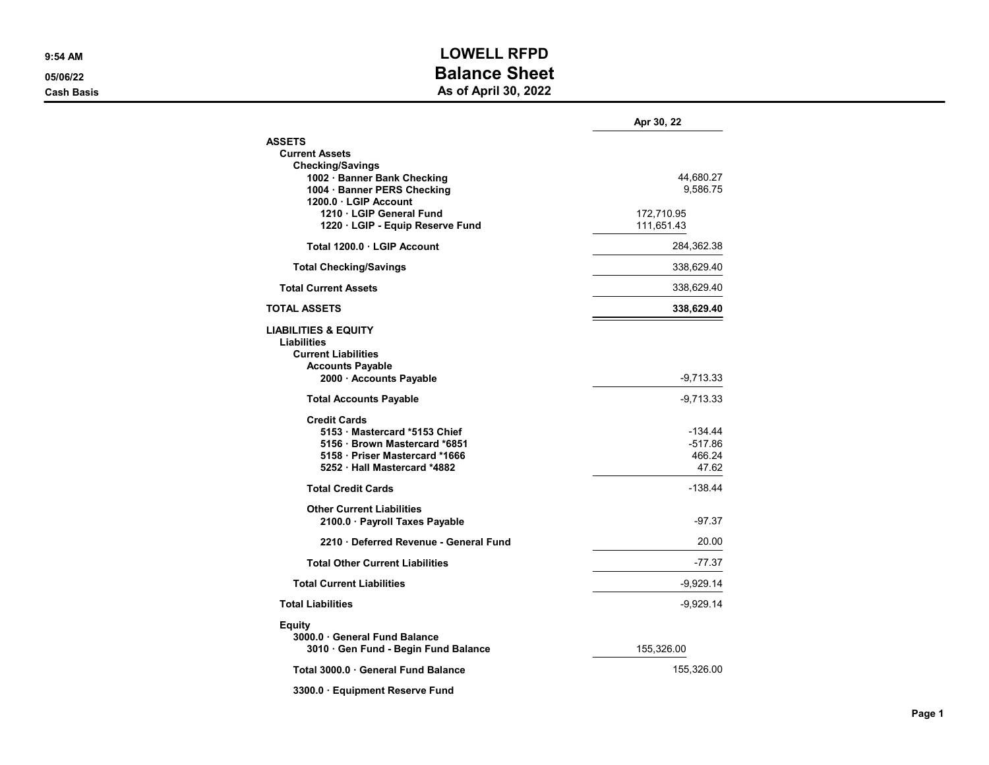## 9:54 AM LOWELL RFPD 05/06/22 Balance Sheet

**Cash Basis** Cash Basis **As of April 30, 2022** 

|                                                                                                                     | Apr 30, 22                       |
|---------------------------------------------------------------------------------------------------------------------|----------------------------------|
| <b>ASSETS</b>                                                                                                       |                                  |
| <b>Current Assets</b><br><b>Checking/Savings</b>                                                                    |                                  |
| 1002 · Banner Bank Checking<br>1004 · Banner PERS Checking<br>1200.0 LGIP Account                                   | 44,680.27<br>9,586.75            |
| 1210 · LGIP General Fund<br>1220 · LGIP - Equip Reserve Fund                                                        | 172,710.95<br>111,651.43         |
| Total 1200.0 LGIP Account                                                                                           | 284,362.38                       |
| <b>Total Checking/Savings</b>                                                                                       | 338,629.40                       |
| <b>Total Current Assets</b>                                                                                         | 338,629.40                       |
| <b>TOTAL ASSETS</b>                                                                                                 | 338,629.40                       |
| <b>LIABILITIES &amp; EQUITY</b><br>Liabilities<br><b>Current Liabilities</b><br><b>Accounts Payable</b>             |                                  |
| 2000 · Accounts Payable                                                                                             | -9,713.33                        |
| <b>Total Accounts Payable</b>                                                                                       | -9,713.33                        |
| <b>Credit Cards</b><br>5153 Mastercard *5153 Chief<br>5156 · Brown Mastercard *6851<br>5158 Priser Mastercard *1666 | $-134.44$<br>$-517.86$<br>466.24 |
| 5252 · Hall Mastercard *4882                                                                                        | 47.62                            |
| <b>Total Credit Cards</b>                                                                                           | -138.44                          |
| <b>Other Current Liabilities</b><br>2100.0 · Payroll Taxes Payable                                                  | $-97.37$                         |
| 2210 · Deferred Revenue - General Fund                                                                              | 20.00                            |
| <b>Total Other Current Liabilities</b>                                                                              | $-77.37$                         |
| <b>Total Current Liabilities</b>                                                                                    | $-9,929.14$                      |
| <b>Total Liabilities</b>                                                                                            | -9,929.14                        |
| Equity<br>3000.0 General Fund Balance<br>3010 Gen Fund - Begin Fund Balance                                         | 155,326.00                       |
| Total 3000.0 General Fund Balance                                                                                   | 155,326.00                       |
|                                                                                                                     |                                  |

3300.0 · Equipment Reserve Fund